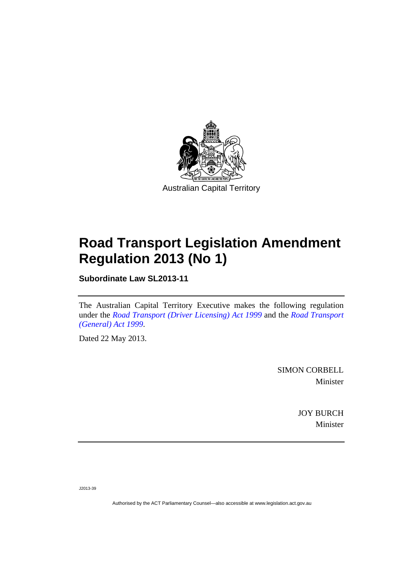

# **Road Transport Legislation Amendment Regulation 2013 (No 1)**

**Subordinate Law SL2013-11** 

The Australian Capital Territory Executive makes the following regulation under the *[Road Transport \(Driver Licensing\) Act 1999](http://www.legislation.act.gov.au/a/1999-78)* and the *[Road Transport](http://www.legislation.act.gov.au/a/1999-77/default.asp)  [\(General\) Act 1999](http://www.legislation.act.gov.au/a/1999-77/default.asp)*.

Dated 22 May 2013.

SIMON CORBELL Minister

> JOY BURCH Minister

J2013-39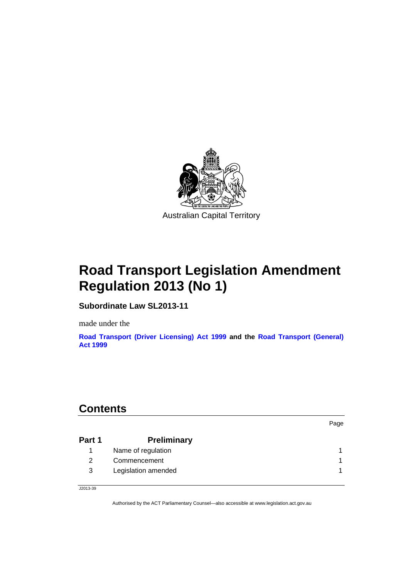

# **Road Transport Legislation Amendment Regulation 2013 (No 1)**

**Subordinate Law SL2013-11** 

made under the

**[Road Transport \(Driver Licensing\) Act 1999](http://www.legislation.act.gov.au/a/1999-78/default.asp) and the [Road Transport \(General\)](http://www.legislation.act.gov.au/a/1999-77/default.asp)  [Act 1999](http://www.legislation.act.gov.au/a/1999-77/default.asp)**

### **Contents**

|        |                     | Page |
|--------|---------------------|------|
| Part 1 | <b>Preliminary</b>  |      |
|        | Name of regulation  |      |
| 2      | Commencement        | 1    |
| 3      | Legislation amended |      |

J2013-39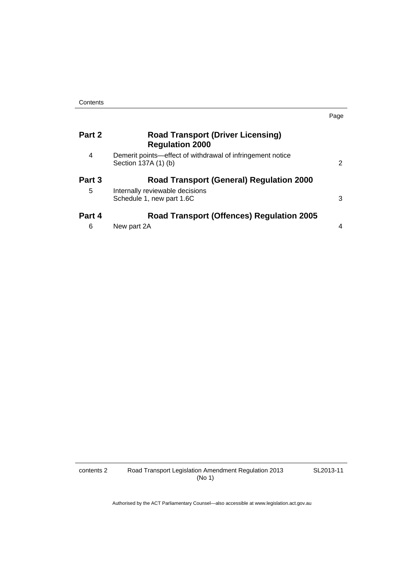|        |                                                                                    | Page |
|--------|------------------------------------------------------------------------------------|------|
| Part 2 | <b>Road Transport (Driver Licensing)</b><br><b>Regulation 2000</b>                 |      |
| 4      | Demerit points—effect of withdrawal of infringement notice<br>Section 137A (1) (b) | 2    |
| Part 3 | <b>Road Transport (General) Regulation 2000</b>                                    |      |
| 5      | Internally reviewable decisions<br>Schedule 1, new part 1.6C                       | 3    |
| Part 4 | <b>Road Transport (Offences) Regulation 2005</b>                                   |      |
| 6      | New part 2A                                                                        | 4    |

contents 2 Road Transport Legislation Amendment Regulation 2013 (No 1)

SL2013-11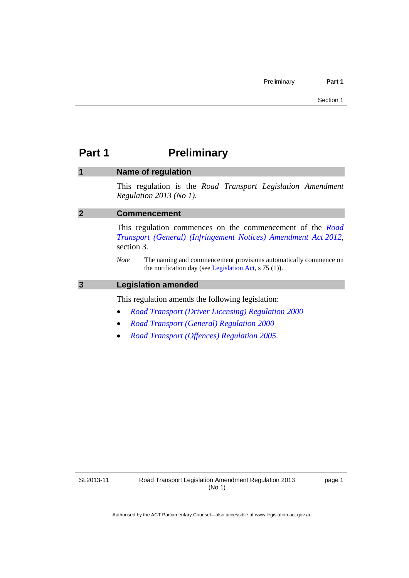### <span id="page-4-0"></span>**Part 1** Preliminary

#### <span id="page-4-1"></span>**1 Name of regulation**

This regulation is the *Road Transport Legislation Amendment Regulation 2013 (No 1)*.

#### <span id="page-4-2"></span>**2 Commencement**

This regulation commences on the commencement of the *[Road](http://www.legislation.act.gov.au/a/2012-24/default.asp)  [Transport \(General\) \(Infringement Notices\) Amendment Act 2012](http://www.legislation.act.gov.au/a/2012-24/default.asp)*, section 3.

*Note* The naming and commencement provisions automatically commence on the notification day (see [Legislation Act,](http://www.legislation.act.gov.au/a/2001-14) s 75 (1)).

#### <span id="page-4-3"></span>**3 Legislation amended**

This regulation amends the following legislation:

- *[Road Transport \(Driver Licensing\) Regulation 2000](http://www.legislation.act.gov.au/sl/2000-14)*
- *[Road Transport \(General\) Regulation 2000](http://www.legislation.act.gov.au/sl/2000-13)*
- *[Road Transport \(Offences\) Regulation 2005](http://www.legislation.act.gov.au/sl/2005-11)*.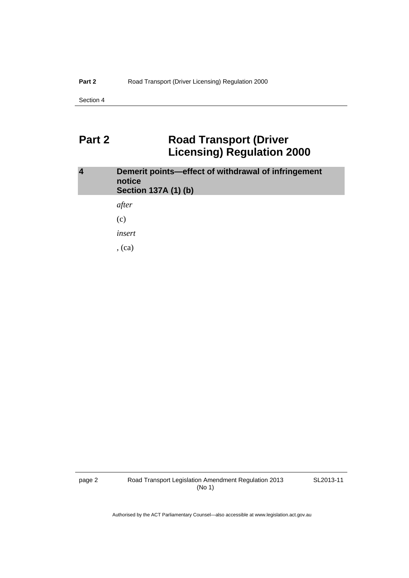### <span id="page-5-0"></span>**Part 2** Road Transport (Driver **Licensing) Regulation 2000**

### <span id="page-5-1"></span>**4 Demerit points—effect of withdrawal of infringement notice Section 137A (1) (b)**

*after* 

(c)

*insert* 

, (ca)

page 2 Road Transport Legislation Amendment Regulation 2013 (No 1)

SL2013-11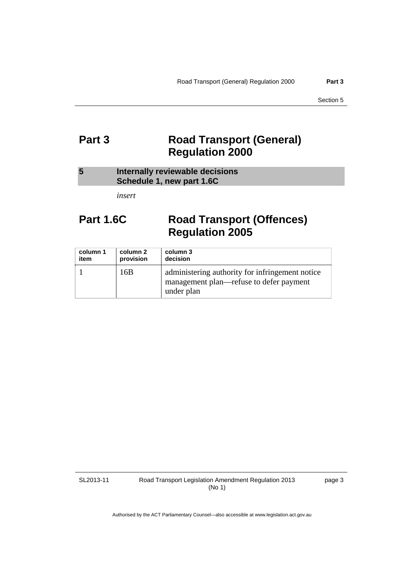### <span id="page-6-0"></span>**Part 3 Road Transport (General) Regulation 2000**

#### <span id="page-6-1"></span>**5 Internally reviewable decisions Schedule 1, new part 1.6C**

*insert* 

## Part 1.6C Road Transport (Offences) **Regulation 2005**

| column 1 | column 2  | column 3                                                                                                 |
|----------|-----------|----------------------------------------------------------------------------------------------------------|
| item     | provision | decision                                                                                                 |
|          | 16B       | administering authority for infringement notice<br>management plan—refuse to defer payment<br>under plan |

SL2013-11

Road Transport Legislation Amendment Regulation 2013 (No 1)

page 3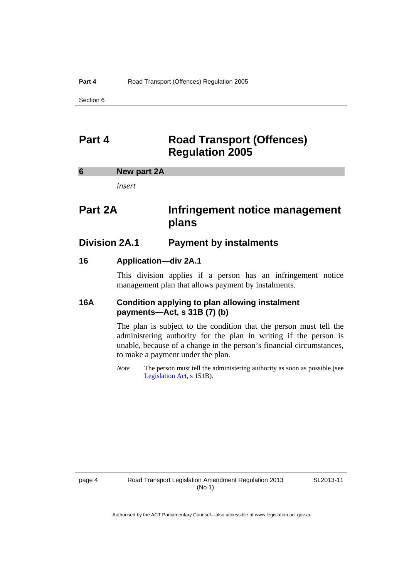### <span id="page-7-0"></span>**Part 4 Road Transport (Offences) Regulation 2005**

#### <span id="page-7-1"></span>**6 New part 2A**

*insert* 

### **Part 2A Infringement notice management plans**

### **Division 2A.1 Payment by instalments**

#### **16 Application—div 2A.1**

This division applies if a person has an infringement notice management plan that allows payment by instalments.

#### **16A Condition applying to plan allowing instalment payments—Act, s 31B (7) (b)**

The plan is subject to the condition that the person must tell the administering authority for the plan in writing if the person is unable, because of a change in the person's financial circumstances, to make a payment under the plan.

*Note* The person must tell the administering authority as soon as possible (see [Legislation Act,](http://www.legislation.act.gov.au/a/2001-14) s 151B).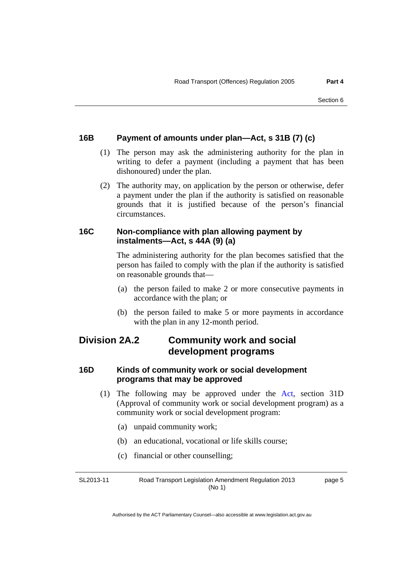#### **16B Payment of amounts under plan—Act, s 31B (7) (c)**

- (1) The person may ask the administering authority for the plan in writing to defer a payment (including a payment that has been dishonoured) under the plan.
- (2) The authority may, on application by the person or otherwise, defer a payment under the plan if the authority is satisfied on reasonable grounds that it is justified because of the person's financial circumstances.

#### **16C Non-compliance with plan allowing payment by instalments—Act, s 44A (9) (a)**

The administering authority for the plan becomes satisfied that the person has failed to comply with the plan if the authority is satisfied on reasonable grounds that—

- (a) the person failed to make 2 or more consecutive payments in accordance with the plan; or
- (b) the person failed to make 5 or more payments in accordance with the plan in any 12-month period.

### **Division 2A.2 Community work and social development programs**

#### **16D Kinds of community work or social development programs that may be approved**

- (1) The following may be approved under the [Act,](http://www.legislation.act.gov.au/a/1999-77/default.asp) section 31D (Approval of community work or social development program) as a community work or social development program:
	- (a) unpaid community work;
	- (b) an educational, vocational or life skills course;
	- (c) financial or other counselling;

SL2013-11 Road Transport Legislation Amendment Regulation 2013 (No 1) page 5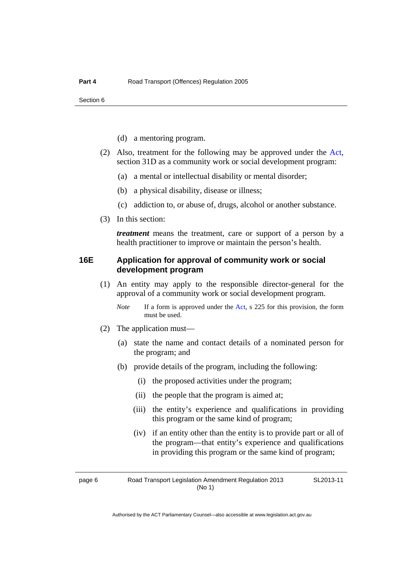- (d) a mentoring program.
- (2) Also, treatment for the following may be approved under the [Act](http://www.legislation.act.gov.au/a/1999-77/default.asp), section 31D as a community work or social development program:
	- (a) a mental or intellectual disability or mental disorder;
	- (b) a physical disability, disease or illness;
	- (c) addiction to, or abuse of, drugs, alcohol or another substance.
- (3) In this section:

*treatment* means the treatment, care or support of a person by a health practitioner to improve or maintain the person's health.

#### **16E Application for approval of community work or social development program**

- (1) An entity may apply to the responsible director-general for the approval of a community work or social development program.
	- *Note* If a form is approved under the [Act](http://www.legislation.act.gov.au/a/1999-77/default.asp), s 225 for this provision, the form must be used.
- (2) The application must—
	- (a) state the name and contact details of a nominated person for the program; and
	- (b) provide details of the program, including the following:
		- (i) the proposed activities under the program;
		- (ii) the people that the program is aimed at;
		- (iii) the entity's experience and qualifications in providing this program or the same kind of program;
		- (iv) if an entity other than the entity is to provide part or all of the program—that entity's experience and qualifications in providing this program or the same kind of program;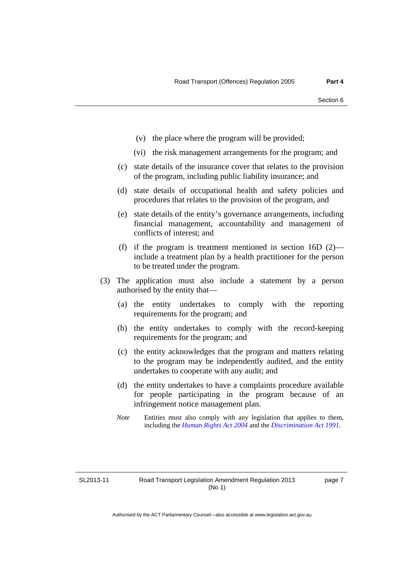- (v) the place where the program will be provided;
- (vi) the risk management arrangements for the program; and
- (c) state details of the insurance cover that relates to the provision of the program, including public liability insurance; and
- (d) state details of occupational health and safety policies and procedures that relates to the provision of the program, and
- (e) state details of the entity's governance arrangements, including financial management, accountability and management of conflicts of interest; and
- (f) if the program is treatment mentioned in section  $16D(2)$  include a treatment plan by a health practitioner for the person to be treated under the program.
- (3) The application must also include a statement by a person authorised by the entity that—
	- (a) the entity undertakes to comply with the reporting requirements for the program; and
	- (b) the entity undertakes to comply with the record-keeping requirements for the program; and
	- (c) the entity acknowledges that the program and matters relating to the program may be independently audited, and the entity undertakes to cooperate with any audit; and
	- (d) the entity undertakes to have a complaints procedure available for people participating in the program because of an infringement notice management plan.
	- *Note* Entities must also comply with any legislation that applies to them, including the *[Human Rights Act 2004](http://www.legislation.act.gov.au/a/2004-5)* and the *[Discrimination Act 1991](http://www.legislation.act.gov.au/a/1991-81)*.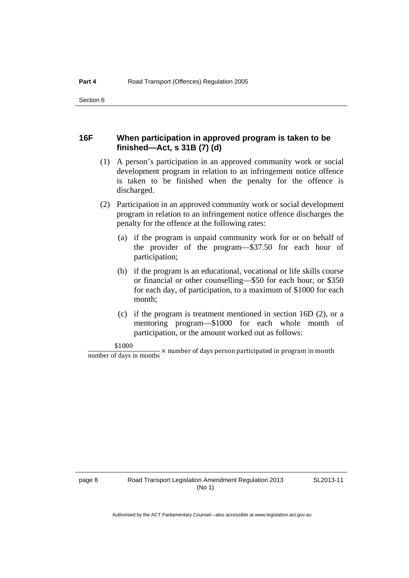#### **16F When participation in approved program is taken to be finished—Act, s 31B (7) (d)**

- (1) A person's participation in an approved community work or social development program in relation to an infringement notice offence is taken to be finished when the penalty for the offence is discharged.
- (2) Participation in an approved community work or social development program in relation to an infringement notice offence discharges the penalty for the offence at the following rates:
	- (a) if the program is unpaid community work for or on behalf of the provider of the program—\$37.50 for each hour of participation;
	- (b) if the program is an educational, vocational or life skills course or financial or other counselling—\$50 for each hour, or \$350 for each day, of participation, to a maximum of \$1000 for each month;
	- (c) if the program is treatment mentioned in section 16D (2), or a mentoring program—\$1000 for each whole month of participation, or the amount worked out as follows:

 $\frac{$1000}{$number}$  of days in months  $\times$  number of days person participated in program in month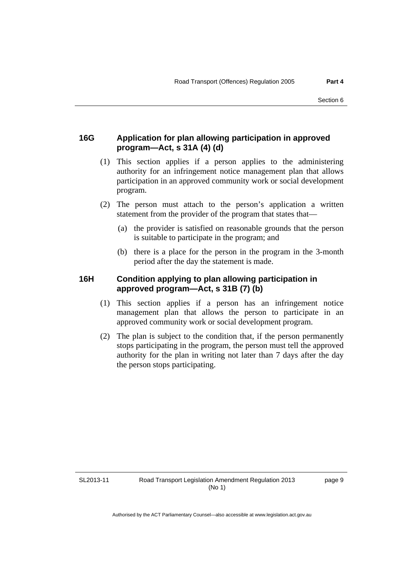#### **16G Application for plan allowing participation in approved program—Act, s 31A (4) (d)**

- (1) This section applies if a person applies to the administering authority for an infringement notice management plan that allows participation in an approved community work or social development program.
- (2) The person must attach to the person's application a written statement from the provider of the program that states that—
	- (a) the provider is satisfied on reasonable grounds that the person is suitable to participate in the program; and
	- (b) there is a place for the person in the program in the 3-month period after the day the statement is made.

#### **16H Condition applying to plan allowing participation in approved program—Act, s 31B (7) (b)**

- (1) This section applies if a person has an infringement notice management plan that allows the person to participate in an approved community work or social development program.
- (2) The plan is subject to the condition that, if the person permanently stops participating in the program, the person must tell the approved authority for the plan in writing not later than 7 days after the day the person stops participating.

SL2013-11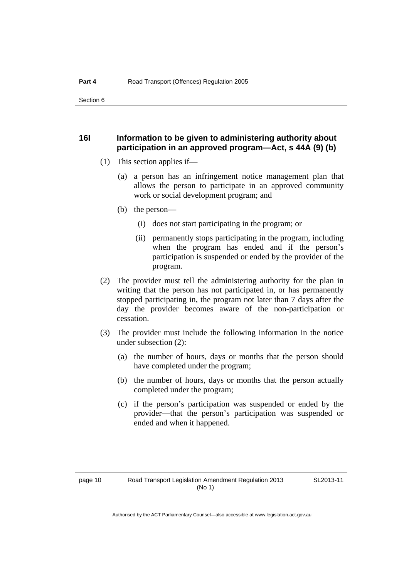#### **16I Information to be given to administering authority about participation in an approved program—Act, s 44A (9) (b)**

- (1) This section applies if—
	- (a) a person has an infringement notice management plan that allows the person to participate in an approved community work or social development program; and
	- (b) the person—
		- (i) does not start participating in the program; or
		- (ii) permanently stops participating in the program, including when the program has ended and if the person's participation is suspended or ended by the provider of the program.
- (2) The provider must tell the administering authority for the plan in writing that the person has not participated in, or has permanently stopped participating in, the program not later than 7 days after the day the provider becomes aware of the non-participation or cessation.
- (3) The provider must include the following information in the notice under subsection (2):
	- (a) the number of hours, days or months that the person should have completed under the program;
	- (b) the number of hours, days or months that the person actually completed under the program;
	- (c) if the person's participation was suspended or ended by the provider—that the person's participation was suspended or ended and when it happened.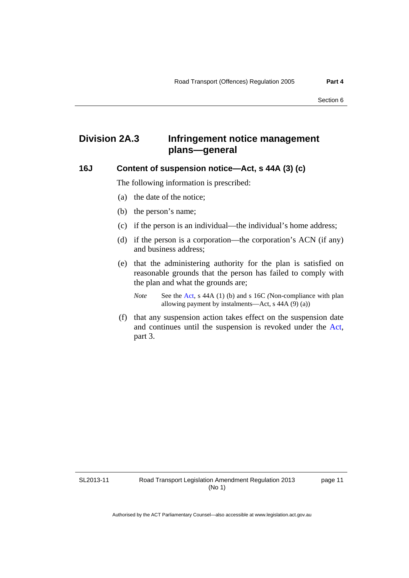### **Division 2A.3 Infringement notice management plans—general**

#### **16J Content of suspension notice—Act, s 44A (3) (c)**

The following information is prescribed:

- (a) the date of the notice;
- (b) the person's name;
- (c) if the person is an individual—the individual's home address;
- (d) if the person is a corporation—the corporation's ACN (if any) and business address;
- (e) that the administering authority for the plan is satisfied on reasonable grounds that the person has failed to comply with the plan and what the grounds are;

*Note* See the [Act](http://www.legislation.act.gov.au/a/1999-77/default.asp), s 44A (1) (b) and s 16C *(Non-compliance with plan*) allowing payment by instalments—Act, s 44A (9) (a))

 (f) that any suspension action takes effect on the suspension date and continues until the suspension is revoked under the [Act](http://www.legislation.act.gov.au/a/1999-77/default.asp), part 3.

SL2013-11